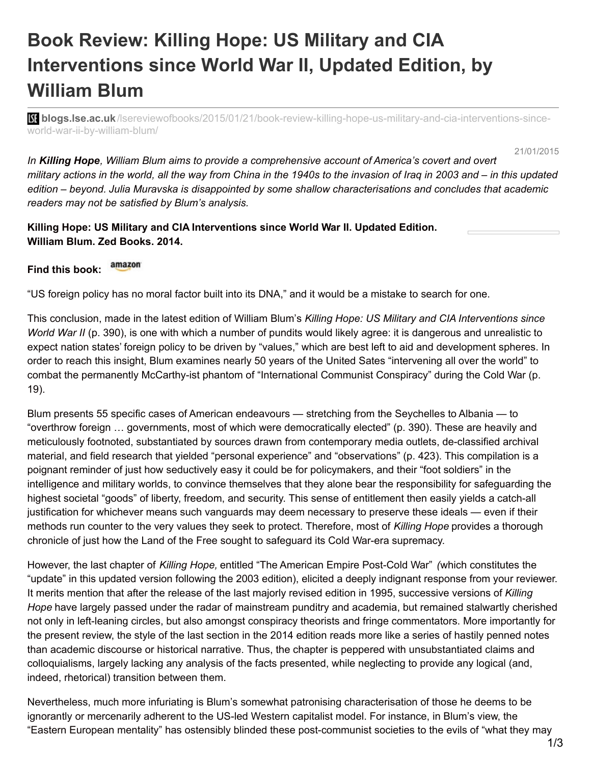## **Book Review: Killing Hope: US Military and CIA Interventions since World War II, Updated Edition, by William Blum**

**blistings.lse.ac.uk**[/lsereviewofbooks/2015/01/21/book-review-killing-hope-us-military-and-cia-interventions-since](http://blogs.lse.ac.uk/lsereviewofbooks/2015/01/21/book-review-killing-hope-us-military-and-cia-interventions-since-world-war-ii-by-william-blum/)world-war-ii-by-william-blum/

21/01/2015

*In Killing Hope, William Blum aims to provide a comprehensive account of America's covert and overt* military actions in the world, all the way from China in the 1940s to the invasion of Iraq in 2003 and – in this updated *edition – beyond. Julia Muravska is disappointed by some shallow characterisations and concludes that academic readers may not be satisfied by Blum's analysis.*

**Killing Hope: US Military and CIA Interventions since World War II. Updated Edition. William Blum. Zed Books. 2014.**

## amazon **Find this book:**

"US foreign policy has no moral factor built into its DNA," and it would be a mistake to search for one.

This conclusion, made in the latest edition of William Blum's *Killing Hope: US Military and CIA Interventions since World War II* (p. 390), is one with which a number of pundits would likely agree: it is dangerous and unrealistic to expect nation states' foreign policy to be driven by "values," which are best left to aid and development spheres. In order to reach this insight, Blum examines nearly 50 years of the United Sates "intervening all over the world" to combat the permanently McCarthy-ist phantom of "International Communist Conspiracy" during the Cold War (p. 19).

Blum presents 55 specific cases of American endeavours — stretching from the Seychelles to Albania — to "overthrow foreign … governments, most of which were democratically elected" (p. 390). These are heavily and meticulously footnoted, substantiated by sources drawn from contemporary media outlets, de-classified archival material, and field research that yielded "personal experience" and "observations" (p. 423). This compilation is a poignant reminder of just how seductively easy it could be for policymakers, and their "foot soldiers" in the intelligence and military worlds, to convince themselves that they alone bear the responsibility for safeguarding the highest societal "goods" of liberty, freedom, and security. This sense of entitlement then easily yields a catch-all justification for whichever means such vanguards may deem necessary to preserve these ideals — even if their methods run counter to the very values they seek to protect. Therefore, most of *Killing Hope* provides a thorough chronicle of just how the Land of the Free sought to safeguard its Cold War-era supremacy.

However, the last chapter of *Killing Hope,* entitled "The American Empire Post-Cold War" *(*which constitutes the "update" in this updated version following the 2003 edition), elicited a deeply indignant response from your reviewer. It merits mention that after the release of the last majorly revised edition in 1995, successive versions of *Killing Hope* have largely passed under the radar of mainstream punditry and academia, but remained stalwartly cherished not only in left-leaning circles, but also amongst conspiracy theorists and fringe commentators. More importantly for the present review, the style of the last section in the 2014 edition reads more like a series of hastily penned notes than academic discourse or historical narrative. Thus, the chapter is peppered with unsubstantiated claims and colloquialisms, largely lacking any analysis of the facts presented, while neglecting to provide any logical (and, indeed, rhetorical) transition between them.

Nevertheless, much more infuriating is Blum's somewhat patronising characterisation of those he deems to be ignorantly or mercenarily adherent to the US-led Western capitalist model. For instance, in Blum's view, the "Eastern European mentality" has ostensibly blinded these post-communist societies to the evils of "what they may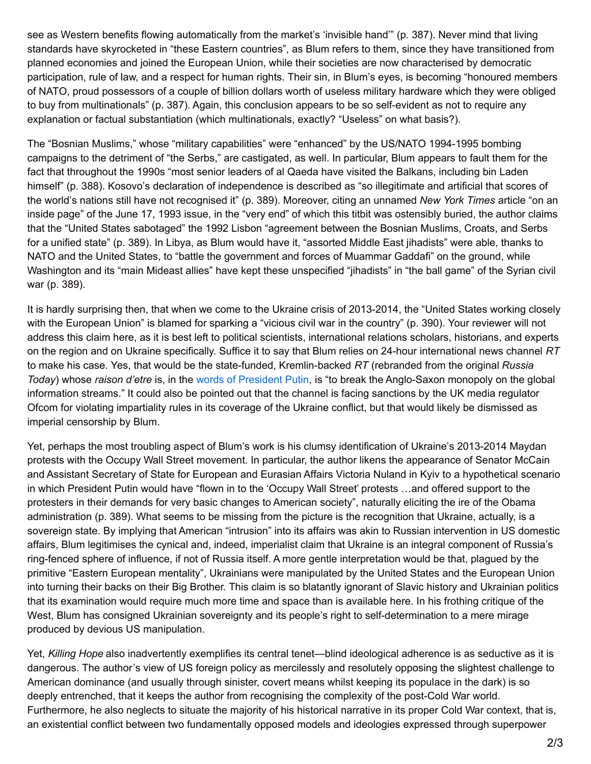see as Western benefits flowing automatically from the market's 'invisible hand'" (p. 387). Never mind that living standards have skyrocketed in "these Eastern countries", as Blum refers to them, since they have transitioned from planned economies and joined the European Union, while their societies are now characterised by democratic participation, rule of law, and a respect for human rights. Their sin, in Blum's eyes, is becoming "honoured members of NATO, proud possessors of a couple of billion dollars worth of useless military hardware which they were obliged to buy from multinationals" (p. 387). Again, this conclusion appears to be so self-evident as not to require any explanation or factual substantiation (which multinationals, exactly? "Useless" on what basis?).

The "Bosnian Muslims," whose "military capabilities" were "enhanced" by the US/NATO 1994-1995 bombing campaigns to the detriment of "the Serbs," are castigated, as well. In particular, Blum appears to fault them for the fact that throughout the 1990s "most senior leaders of al Qaeda have visited the Balkans, including bin Laden himself" (p. 388). Kosovo's declaration of independence is described as "so illegitimate and artificial that scores of the world's nations still have not recognised it" (p. 389). Moreover, citing an unnamed *New York Times* article "on an inside page" of the June 17, 1993 issue, in the "very end" of which this titbit was ostensibly buried, the author claims that the "United States sabotaged" the 1992 Lisbon "agreement between the Bosnian Muslims, Croats, and Serbs for a unified state" (p. 389). In Libya, as Blum would have it, "assorted Middle East jihadists" were able, thanks to NATO and the United States, to "battle the government and forces of Muammar Gaddafi" on the ground, while Washington and its "main Mideast allies" have kept these unspecified "jihadists" in "the ball game" of the Syrian civil war (p. 389).

It is hardly surprising then, that when we come to the Ukraine crisis of 2013-2014, the "United States working closely with the European Union" is blamed for sparking a "vicious civil war in the country" (p. 390). Your reviewer will not address this claim here, as it is best left to political scientists, international relations scholars, historians, and experts on the region and on Ukraine specifically. Suffice it to say that Blum relies on 24-hour international news channel *RT* to make his case. Yes, that would be the state-funded, Kremlin-backed *RT* (rebranded from the original *Russia Today*) whose *raison d'etre* is, in the words of [President](http://www.theguardian.com/media/2014/nov/10/russia-today-ofcom-sanctions-impartiality-ukraine-coverage) Putin, is "to break the Anglo-Saxon monopoly on the global information streams." It could also be pointed out that the channel is facing sanctions by the UK media regulator Ofcom for violating impartiality rules in its coverage of the Ukraine conflict, but that would likely be dismissed as imperial censorship by Blum.

Yet, perhaps the most troubling aspect of Blum's work is his clumsy identification of Ukraine's 2013-2014 Maydan protests with the Occupy Wall Street movement. In particular, the author likens the appearance of Senator McCain and Assistant Secretary of State for European and Eurasian Affairs Victoria Nuland in Kyiv to a hypothetical scenario in which President Putin would have "flown in to the 'Occupy Wall Street' protests …and offered support to the protesters in their demands for very basic changes to American society", naturally eliciting the ire of the Obama administration (p. 389). What seems to be missing from the picture is the recognition that Ukraine, actually, is a sovereign state. By implying that American "intrusion" into its affairs was akin to Russian intervention in US domestic affairs, Blum legitimises the cynical and, indeed, imperialist claim that Ukraine is an integral component of Russia's ring-fenced sphere of influence, if not of Russia itself. A more gentle interpretation would be that, plagued by the primitive "Eastern European mentality", Ukrainians were manipulated by the United States and the European Union into turning their backs on their Big Brother. This claim is so blatantly ignorant of Slavic history and Ukrainian politics that its examination would require much more time and space than is available here. In his frothing critique of the West, Blum has consigned Ukrainian sovereignty and its people's right to self-determination to a mere mirage produced by devious US manipulation.

Yet, *Killing Hope* also inadvertently exemplifies its central tenet—blind ideological adherence is as seductive as it is dangerous. The author's view of US foreign policy as mercilessly and resolutely opposing the slightest challenge to American dominance (and usually through sinister, covert means whilst keeping its populace in the dark) is so deeply entrenched, that it keeps the author from recognising the complexity of the post-Cold War world. Furthermore, he also neglects to situate the majority of his historical narrative in its proper Cold War context, that is, an existential conflict between two fundamentally opposed models and ideologies expressed through superpower